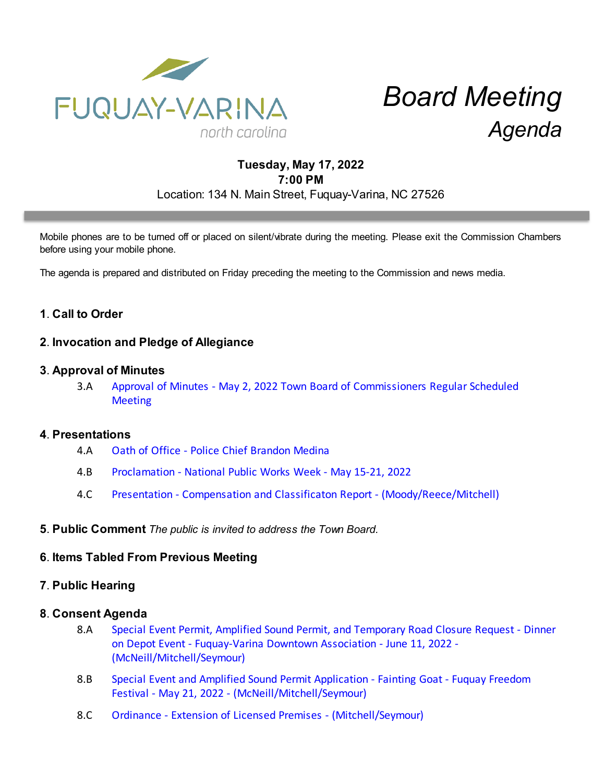

# *Board Meeting Agenda*

# **Tuesday, May 17, 2022 7:00 PM** Location: 134 N. Main Street, Fuquay-Varina, NC 27526

Mobile phones are to be turned off or placed on silent/vibrate during the meeting. Please exit the Commission Chambers before using your mobile phone.

The agenda is prepared and distributed on Friday preceding the meeting to the Commission and news media.

# **1**. **Call to Order**

## **2**. **Invocation and Pledge of Allegiance**

### **3**. **Approval of Minutes**

3.A [Approval of Minutes - May 2, 2022 Town Board of Commissioners Regular Scheduled](https://d2kbkoa27fdvtw.cloudfront.net/fuquay-varina/e67cc3cb5ff91312a5bd45115778a4a50.pdf) **[Meeting](https://d2kbkoa27fdvtw.cloudfront.net/fuquay-varina/e67cc3cb5ff91312a5bd45115778a4a50.pdf)** 

### **4**. **Presentations**

- 4.A [Oath of Office Police Chief Brandon Medina](https://d2kbkoa27fdvtw.cloudfront.net/fuquay-varina/4a93446b5b4d60ed9ea7493c69b164c70.pdf)
- 4.B [Proclamation National Public Works Week May 15-21, 2022](https://d2kbkoa27fdvtw.cloudfront.net/fuquay-varina/306fc213fce789cc8a9c09d1e41fecca0.pdf)
- 4.C [Presentation Compensation and Classificaton Report \(Moody/Reece/Mitchell\)](https://d2kbkoa27fdvtw.cloudfront.net/fuquay-varina/723ed87b82aed35ab90ea1bdfc32b79d0.pdf)

#### **5**. **Public Comment** *The public is invited to address the Town Board.*

#### **6**. **Items Tabled From Previous Meeting**

## **7**. **Public Hearing**

#### **8**. **Consent Agenda**

- 8.A [Special Event Permit, Amplified Sound Permit, and Temporary Road Closure Request Dinner](https://d2kbkoa27fdvtw.cloudfront.net/fuquay-varina/0e76eb75d17a2aff3ebffb989f98dd7b0.pdf) [on Depot Event - Fuquay-Varina Downtown Association - June 11, 2022 -](https://d2kbkoa27fdvtw.cloudfront.net/fuquay-varina/0e76eb75d17a2aff3ebffb989f98dd7b0.pdf) [\(McNeill/Mitchell/Seymour\)](https://d2kbkoa27fdvtw.cloudfront.net/fuquay-varina/0e76eb75d17a2aff3ebffb989f98dd7b0.pdf)
- 8.B [Special Event and Amplified Sound Permit Application Fainting Goat Fuquay Freedom](https://d2kbkoa27fdvtw.cloudfront.net/fuquay-varina/9be773fa7a86cd5487b1425d3e3a99db0.pdf) [Festival - May 21, 2022 - \(McNeill/Mitchell/Seymour\)](https://d2kbkoa27fdvtw.cloudfront.net/fuquay-varina/9be773fa7a86cd5487b1425d3e3a99db0.pdf)
- 8.C [Ordinance Extension of Licensed Premises \(Mitchell/Seymour\)](https://d2kbkoa27fdvtw.cloudfront.net/fuquay-varina/ee8384659313125fe093331d119c56af0.pdf)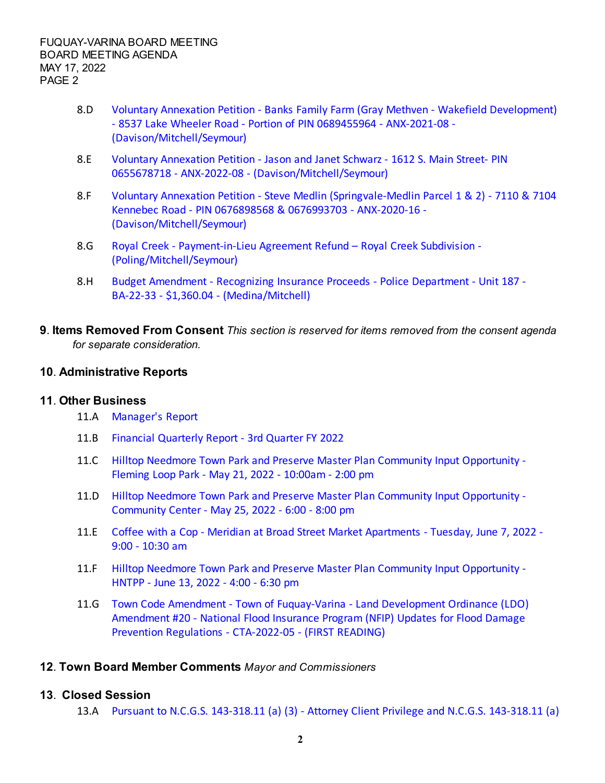- 8.D [Voluntary Annexation Petition Banks Family Farm \(Gray Methven Wakefield Development\)](https://d2kbkoa27fdvtw.cloudfront.net/fuquay-varina/3e3e3ef4fb938d88e2b7bc5449d3f0fb0.pdf) [- 8537 Lake Wheeler Road - Portion of PIN 0689455964 - ANX-2021-08 -](https://d2kbkoa27fdvtw.cloudfront.net/fuquay-varina/3e3e3ef4fb938d88e2b7bc5449d3f0fb0.pdf) [\(Davison/Mitchell/Seymour\)](https://d2kbkoa27fdvtw.cloudfront.net/fuquay-varina/3e3e3ef4fb938d88e2b7bc5449d3f0fb0.pdf)
- 8.E [Voluntary Annexation Petition Jason and Janet Schwarz 1612 S. Main Street- PIN](https://d2kbkoa27fdvtw.cloudfront.net/fuquay-varina/2e3dc64fb653529ff91b1b67776343cb0.pdf) [0655678718 - ANX-2022-08 - \(Davison/Mitchell/Seymour\)](https://d2kbkoa27fdvtw.cloudfront.net/fuquay-varina/2e3dc64fb653529ff91b1b67776343cb0.pdf)
- 8.F [Voluntary Annexation Petition Steve Medlin \(Springvale-Medlin Parcel 1 & 2\) 7110 & 7104](https://d2kbkoa27fdvtw.cloudfront.net/fuquay-varina/b82ce70a78fbaf0282e8fc8636b72ce90.pdf) [Kennebec Road - PIN 0676898568 & 0676993703 - ANX-2020-16 -](https://d2kbkoa27fdvtw.cloudfront.net/fuquay-varina/b82ce70a78fbaf0282e8fc8636b72ce90.pdf) [\(Davison/Mitchell/Seymour\)](https://d2kbkoa27fdvtw.cloudfront.net/fuquay-varina/b82ce70a78fbaf0282e8fc8636b72ce90.pdf)
- 8.G [Royal Creek Payment-in-Lieu Agreement Refund Royal Creek Subdivision -](https://d2kbkoa27fdvtw.cloudfront.net/fuquay-varina/99ae1947e2a54b620f7f5212a9798fff0.pdf) [\(Poling/Mitchell/Seymour\)](https://d2kbkoa27fdvtw.cloudfront.net/fuquay-varina/99ae1947e2a54b620f7f5212a9798fff0.pdf)
- 8.H [Budget Amendment Recognizing Insurance Proceeds Police Department Unit 187 -](https://d2kbkoa27fdvtw.cloudfront.net/fuquay-varina/318c211e47762ef7b8e1905a6d368f570.pdf) [BA-22-33 - \\$1,360.04 - \(Medina/Mitchell\)](https://d2kbkoa27fdvtw.cloudfront.net/fuquay-varina/318c211e47762ef7b8e1905a6d368f570.pdf)
- **9**. **Items Removed From Consent** *This section is reserved for items removed from the consent agenda for separate consideration.*

## **10**. **Administrative Reports**

## **11**. **Other Business**

- 11.A [Manager's Report](https://d2kbkoa27fdvtw.cloudfront.net/fuquay-varina/fe3894f167a9bcbebe6d0803ddf9d5450.pdf)
- 11.B [Financial Quarterly Report 3rd Quarter FY 2022](https://d2kbkoa27fdvtw.cloudfront.net/fuquay-varina/4ff8a603e4c96fcffa4ba8dd5d94aed80.pdf)
- 11.C [Hilltop Needmore Town Park and Preserve Master Plan Community Input Opportunity -](https://d2kbkoa27fdvtw.cloudfront.net/fuquay-varina/51d2c457a3413a1a0d8cc696fdca52ef0.pdf) [Fleming Loop Park - May 21, 2022 - 10:00am - 2:00 pm](https://d2kbkoa27fdvtw.cloudfront.net/fuquay-varina/51d2c457a3413a1a0d8cc696fdca52ef0.pdf)
- 11.D [Hilltop Needmore Town Park and Preserve Master Plan Community Input Opportunity -](https://d2kbkoa27fdvtw.cloudfront.net/fuquay-varina/fbafc901b472cee2928d473ad625550d0.pdf) [Community Center - May 25, 2022 - 6:00 - 8:00 pm](https://d2kbkoa27fdvtw.cloudfront.net/fuquay-varina/fbafc901b472cee2928d473ad625550d0.pdf)
- 11.E [Coffee with a Cop Meridian at Broad Street Market Apartments Tuesday, June 7, 2022 -](https://d2kbkoa27fdvtw.cloudfront.net/fuquay-varina/e31a8abbed6d7ae845b20b6e84a3f4eb0.pdf) [9:00 - 10:30 am](https://d2kbkoa27fdvtw.cloudfront.net/fuquay-varina/e31a8abbed6d7ae845b20b6e84a3f4eb0.pdf)
- 11.F [Hilltop Needmore Town Park and Preserve Master Plan Community Input Opportunity -](https://d2kbkoa27fdvtw.cloudfront.net/fuquay-varina/1acf909cb168298c0366f1d27f5a65c70.pdf) [HNTPP - June 13, 2022 - 4:00 - 6:30 pm](https://d2kbkoa27fdvtw.cloudfront.net/fuquay-varina/1acf909cb168298c0366f1d27f5a65c70.pdf)
- 11.G [Town Code Amendment Town of Fuquay-Varina Land Development Ordinance \(LDO\)](https://d2kbkoa27fdvtw.cloudfront.net/fuquay-varina/7b8956c814680a55953e17d267cd33800.pdf) [Amendment #20 - National Flood Insurance Program \(NFIP\) Updates for Flood Damage](https://d2kbkoa27fdvtw.cloudfront.net/fuquay-varina/7b8956c814680a55953e17d267cd33800.pdf) [Prevention Regulations - CTA-2022-05 - \(FIRST READING\)](https://d2kbkoa27fdvtw.cloudfront.net/fuquay-varina/7b8956c814680a55953e17d267cd33800.pdf)

## **12**. **Town Board Member Comments** *Mayor and Commissioners*

## **13**. **Closed Session**

13.A [Pursuant to N.C.G.S. 143-318.11 \(a\) \(3\) - Attorney Client Privilege and N.C.G.S. 143-318.11 \(a\)](https://d2kbkoa27fdvtw.cloudfront.net/fuquay-varina/94e79d2d6c0a75dbe016843b96acc9310.pdf)